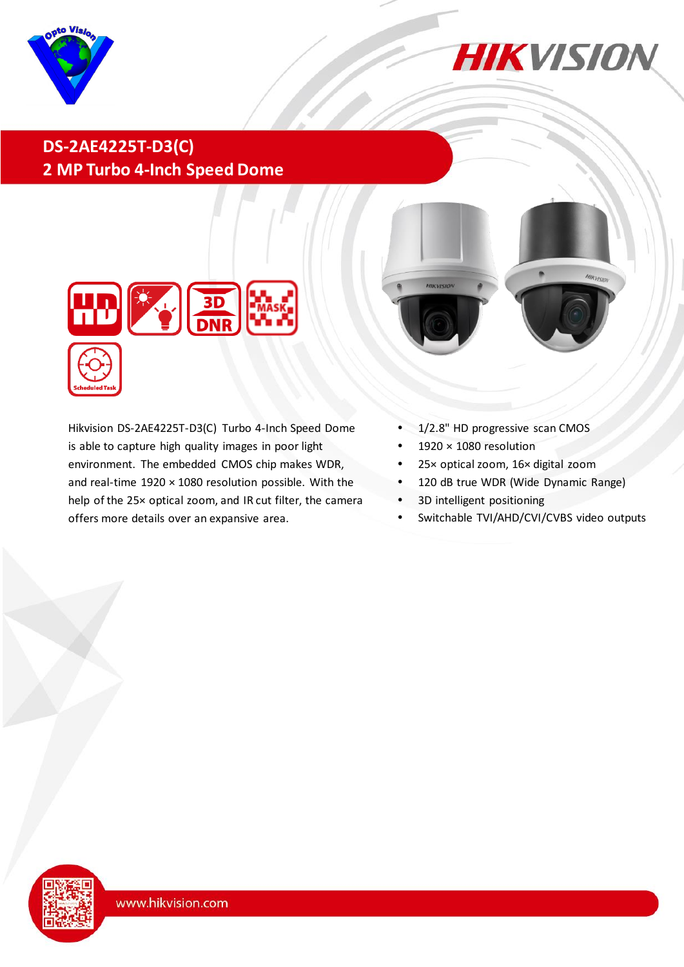



## **DS-2AE4225T-D3(C) 2 MP Turbo 4-Inch Speed Dome**



Hikvision DS-2AE4225T-D3(C) Turbo 4-Inch Speed Dome is able to capture high quality images in poor light environment. The embedded CMOS chip makes WDR, and real-time 1920 × 1080 resolution possible. With the help of the 25× optical zoom, and IR cut filter, the camera offers more details over an expansive area.



- 1/2.8" HD progressive scan CMOS
- 1920 × 1080 resolution
- 25× optical zoom, 16× digital zoom
- 120 dB true WDR (Wide Dynamic Range)
- 3D intelligent positioning
- Switchable TVI/AHD/CVI/CVBS video outputs